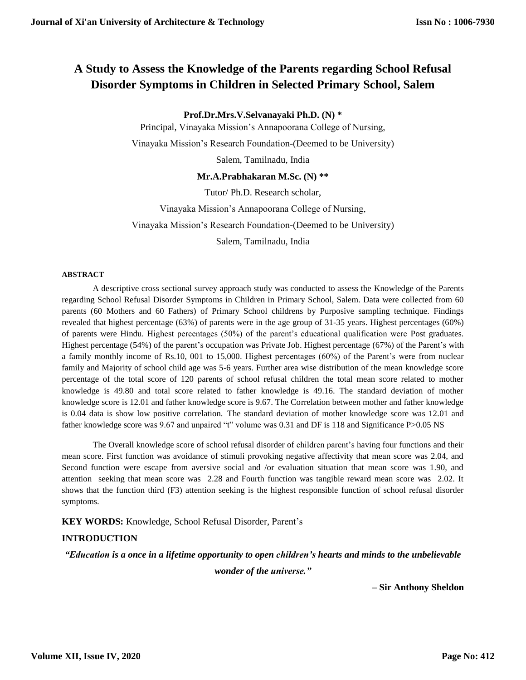# **A Study to Assess the Knowledge of the Parents regarding School Refusal Disorder Symptoms in Children in Selected Primary School, Salem**

**Prof.Dr.Mrs.V.Selvanayaki Ph.D. (N) \***

Principal, Vinayaka Mission's Annapoorana College of Nursing, Vinayaka Mission's Research Foundation-(Deemed to be University)

Salem, Tamilnadu, India

#### **Mr.A.Prabhakaran M.Sc. (N) \*\***

Tutor/ Ph.D. Research scholar,

Vinayaka Mission's Annapoorana College of Nursing,

Vinayaka Mission's Research Foundation-(Deemed to be University)

Salem, Tamilnadu, India

#### **ABSTRACT**

A descriptive cross sectional survey approach study was conducted to assess the Knowledge of the Parents regarding School Refusal Disorder Symptoms in Children in Primary School, Salem. Data were collected from 60 parents (60 Mothers and 60 Fathers) of Primary School childrens by Purposive sampling technique. Findings revealed that highest percentage (63%) of parents were in the age group of 31-35 years. Highest percentages (60%) of parents were Hindu. Highest percentages (50%) of the parent's educational qualification were Post graduates. Highest percentage (54%) of the parent's occupation was Private Job. Highest percentage (67%) of the Parent's with a family monthly income of Rs.10, 001 to 15,000. Highest percentages (60%) of the Parent's were from nuclear family and Majority of school child age was 5-6 years. Further area wise distribution of the mean knowledge score percentage of the total score of 120 parents of school refusal children the total mean score related to mother knowledge is 49.80 and total score related to father knowledge is 49.16. The standard deviation of mother knowledge score is 12.01 and father knowledge score is 9.67. The Correlation between mother and father knowledge is 0.04 data is show low positive correlation. The standard deviation of mother knowledge score was 12.01 and father knowledge score was 9.67 and unpaired "t" volume was 0.31 and DF is 118 and Significance P>0.05 NS

The Overall knowledge score of school refusal disorder of children parent's having four functions and their mean score. First function was avoidance of stimuli provoking negative affectivity that mean score was 2.04, and Second function were escape from aversive social and /or evaluation situation that mean score was 1.90, and attention seeking that mean score was 2.28 and Fourth function was tangible reward mean score was 2.02. It shows that the function third (F3) attention seeking is the highest responsible function of school refusal disorder symptoms.

#### **KEY WORDS:** Knowledge, School Refusal Disorder, Parent's

## **INTRODUCTION**

*"Education is a once in a lifetime opportunity to open children's hearts and minds to the unbelievable*

*wonder of the universe."*

**– Sir Anthony Sheldon**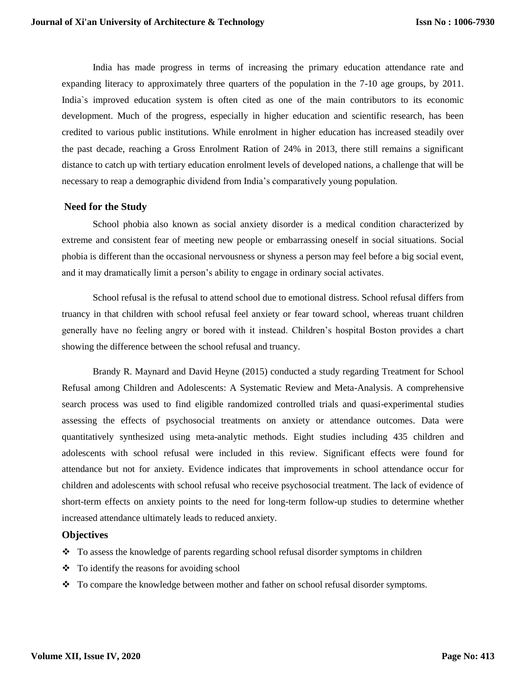India has made progress in terms of increasing the primary education attendance rate and expanding literacy to approximately three quarters of the population in the 7-10 age groups, by 2011. India`s improved education system is often cited as one of the main contributors to its economic development. Much of the progress, especially in higher education and scientific research, has been credited to various public institutions. While enrolment in higher education has increased steadily over the past decade, reaching a Gross Enrolment Ration of 24% in 2013, there still remains a significant distance to catch up with tertiary education enrolment levels of developed nations, a challenge that will be necessary to reap a demographic dividend from India's comparatively young population.

#### **Need for the Study**

School phobia also known as social anxiety disorder is a medical condition characterized by extreme and consistent fear of meeting new people or embarrassing oneself in social situations. Social phobia is different than the occasional nervousness or shyness a person may feel before a big social event, and it may dramatically limit a person's ability to engage in ordinary social activates.

School refusal is the refusal to attend school due to emotional distress. School refusal differs from truancy in that children with school refusal feel anxiety or fear toward school, whereas truant children generally have no feeling angry or bored with it instead. Children's hospital Boston provides a chart showing the difference between the school refusal and truancy.

[Brandy R. Maynard](https://journals.sagepub.com/doi/full/10.1177/1049731515598619) and [David Heyne](https://journals.sagepub.com/doi/full/10.1177/1049731515598619) (2015) conducted a study regarding Treatment for School Refusal among Children and Adolescents: A Systematic Review and Meta-Analysis. A comprehensive search process was used to find eligible randomized controlled trials and quasi-experimental studies assessing the effects of psychosocial treatments on anxiety or attendance outcomes. Data were quantitatively synthesized using meta-analytic methods. Eight studies including 435 children and adolescents with school refusal were included in this review. Significant effects were found for attendance but not for anxiety. Evidence indicates that improvements in school attendance occur for children and adolescents with school refusal who receive psychosocial treatment. The lack of evidence of short-term effects on anxiety points to the need for long-term follow-up studies to determine whether increased attendance ultimately leads to reduced anxiety.

## **Objectives**

- $\cdot \cdot$  To assess the knowledge of parents regarding school refusal disorder symptoms in children
- $\bullet$  To identify the reasons for avoiding school
- \* To compare the knowledge between mother and father on school refusal disorder symptoms.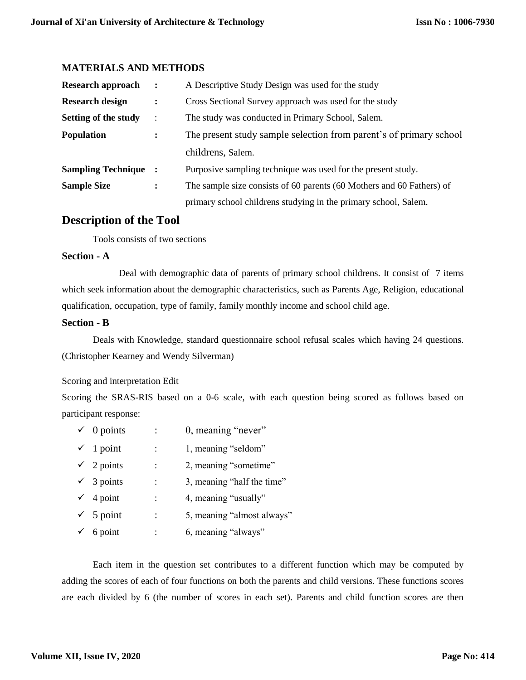## **MATERIALS AND METHODS**

| <b>Research approach</b>  | $\ddot{\cdot}$ | A Descriptive Study Design was used for the study                     |  |  |
|---------------------------|----------------|-----------------------------------------------------------------------|--|--|
| <b>Research design</b>    |                | Cross Sectional Survey approach was used for the study                |  |  |
| Setting of the study      | $\ddot{\cdot}$ | The study was conducted in Primary School, Salem.                     |  |  |
| <b>Population</b>         |                | The present study sample selection from parent's of primary school    |  |  |
|                           |                | childrens, Salem.                                                     |  |  |
| <b>Sampling Technique</b> |                | Purposive sampling technique was used for the present study.          |  |  |
| <b>Sample Size</b>        |                | The sample size consists of 60 parents (60 Mothers and 60 Fathers) of |  |  |
|                           |                | primary school childrens studying in the primary school, Salem.       |  |  |

# **Description of the Tool**

Tools consists of two sections

#### **Section - A**

 Deal with demographic data of parents of primary school childrens. It consist of 7 items which seek information about the demographic characteristics, such as Parents Age, Religion, educational qualification, occupation, type of family, family monthly income and school child age.

#### **Section - B**

 Deals with Knowledge, standard questionnaire school refusal scales which having 24 questions. (Christopher Kearney and Wendy Silverman)

## Scoring and interpretation Edit

Scoring the SRAS-RIS based on a 0-6 scale, with each question being scored as follows based on participant response:

- $\checkmark$  0 points : 0, meaning "never"
- $\checkmark$  1 point : 1, meaning "seldom"
- $\checkmark$  2 points : 2, meaning "sometime"
- $\checkmark$  3 points : 3, meaning "half the time"
- $\checkmark$  4 point : 4, meaning "usually"
- $\checkmark$  5 point : 5, meaning "almost always"
- $\checkmark$  6 point : 6, meaning "always"

Each item in the question set contributes to a different function which may be computed by adding the scores of each of four functions on both the parents and child versions. These functions scores are each divided by 6 (the number of scores in each set). Parents and child function scores are then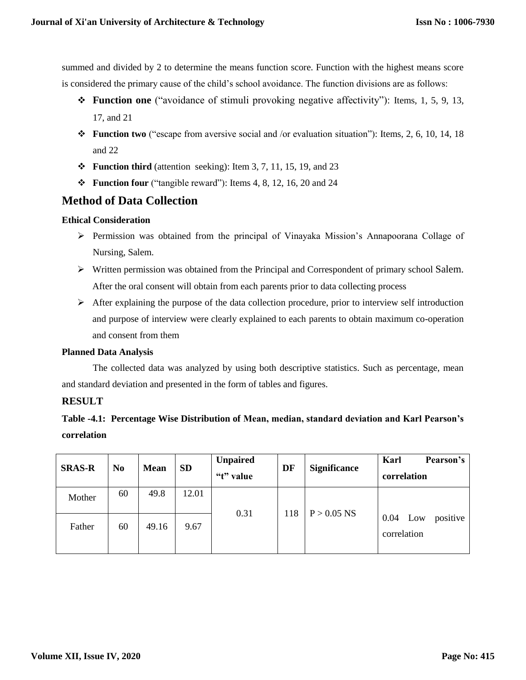summed and divided by 2 to determine the means function score. Function with the highest means score is considered the primary cause of the child's school avoidance. The function divisions are as follows:

- **Function one** ("avoidance of stimuli provoking negative affectivity"): Items, 1, 5, 9, 13, 17, and 21
- **Function two** ("escape from aversive social and /or evaluation situation"): Items, 2, 6, 10, 14, 18 and 22
- $\div$  **Function third** (attention seeking): Item 3, 7, 11, 15, 19, and 23
- **Function four** ("tangible reward"): Items 4, 8, 12, 16, 20 and 24

# **Method of Data Collection**

#### **Ethical Consideration**

- Permission was obtained from the principal of Vinayaka Mission's Annapoorana Collage of Nursing, Salem.
- Written permission was obtained from the Principal and Correspondent of primary school Salem. After the oral consent will obtain from each parents prior to data collecting process
- $\triangleright$  After explaining the purpose of the data collection procedure, prior to interview self introduction and purpose of interview were clearly explained to each parents to obtain maximum co-operation and consent from them

## **Planned Data Analysis**

The collected data was analyzed by using both descriptive statistics. Such as percentage, mean and standard deviation and presented in the form of tables and figures.

## **RESULT**

**Table -4.1: Percentage Wise Distribution of Mean, median, standard deviation and Karl Pearson's correlation** 

| <b>SRAS-R</b> | N <sub>0</sub> | <b>Mean</b> | <b>SD</b> | <b>Unpaired</b><br>"t" value | DF  | <b>Significance</b> | Karl<br>Pearson's<br>correlation       |
|---------------|----------------|-------------|-----------|------------------------------|-----|---------------------|----------------------------------------|
| Mother        | 60             | 49.8        | 12.01     | 0.31                         | 118 | $P > 0.05$ NS       |                                        |
| Father        | 60             | 49.16       | 9.67      |                              |     |                     | 0.04<br>positive<br>Low<br>correlation |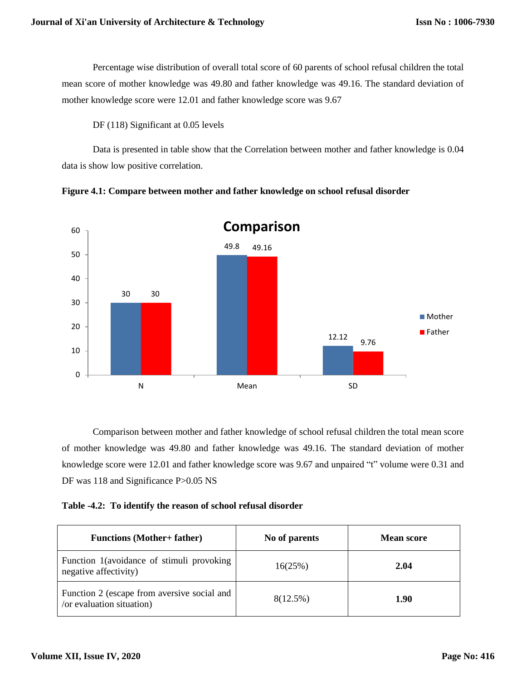Percentage wise distribution of overall total score of 60 parents of school refusal children the total mean score of mother knowledge was 49.80 and father knowledge was 49.16. The standard deviation of mother knowledge score were 12.01 and father knowledge score was 9.67

DF (118) Significant at 0.05 levels

Data is presented in table show that the Correlation between mother and father knowledge is 0.04 data is show low positive correlation.





Comparison between mother and father knowledge of school refusal children the total mean score of mother knowledge was 49.80 and father knowledge was 49.16. The standard deviation of mother knowledge score were 12.01 and father knowledge score was 9.67 and unpaired "t" volume were 0.31 and DF was 118 and Significance P>0.05 NS

**Table -4.2: To identify the reason of school refusal disorder**

| <b>Functions (Mother+ father)</b>                                        | No of parents | <b>Mean score</b> |
|--------------------------------------------------------------------------|---------------|-------------------|
| Function 1 (avoidance of stimuli provoking<br>negative affectivity)      | 16(25%)       | 2.04              |
| Function 2 (escape from aversive social and<br>/or evaluation situation) | 8(12.5%)      | 1.90              |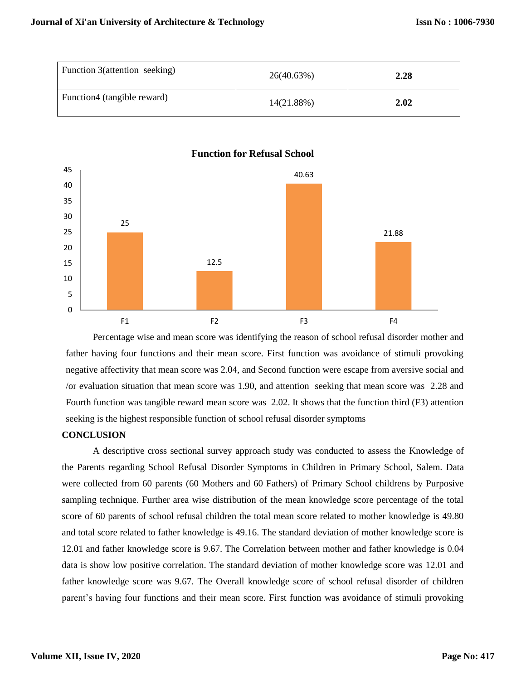| Function 3(attention seeking) | 26(40.63%) | 2.28 |
|-------------------------------|------------|------|
| Function4 (tangible reward)   | 14(21.88%) | 2.02 |



**Function for Refusal School**

Percentage wise and mean score was identifying the reason of school refusal disorder mother and father having four functions and their mean score. First function was avoidance of stimuli provoking negative affectivity that mean score was 2.04, and Second function were escape from aversive social and /or evaluation situation that mean score was 1.90, and attention seeking that mean score was 2.28 and Fourth function was tangible reward mean score was 2.02. It shows that the function third (F3) attention seeking is the highest responsible function of school refusal disorder symptoms

#### **CONCLUSION**

A descriptive cross sectional survey approach study was conducted to assess the Knowledge of the Parents regarding School Refusal Disorder Symptoms in Children in Primary School, Salem. Data were collected from 60 parents (60 Mothers and 60 Fathers) of Primary School childrens by Purposive sampling technique. Further area wise distribution of the mean knowledge score percentage of the total score of 60 parents of school refusal children the total mean score related to mother knowledge is 49.80 and total score related to father knowledge is 49.16. The standard deviation of mother knowledge score is 12.01 and father knowledge score is 9.67. The Correlation between mother and father knowledge is 0.04 data is show low positive correlation. The standard deviation of mother knowledge score was 12.01 and father knowledge score was 9.67. The Overall knowledge score of school refusal disorder of children parent's having four functions and their mean score. First function was avoidance of stimuli provoking